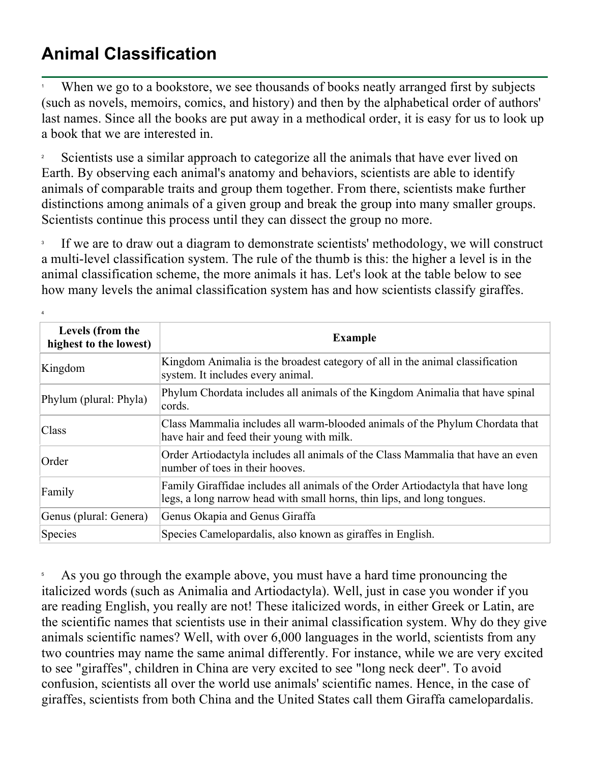## **Animal Classification**

4

1 When we go to a bookstore, we see thousands of books neatly arranged first by subjects (such as novels, memoirs, comics, and history) and then by the alphabetical order of authors' last names. Since all the books are put away in a methodical order, it is easy for us to look up a book that we are interested in.

2 Scientists use a similar approach to categorize all the animals that have ever lived on Earth. By observing each animal's anatomy and behaviors, scientists are able to identify animals of comparable traits and group them together. From there, scientists make further distinctions among animals of a given group and break the group into many smaller groups. Scientists continue this process until they can dissect the group no more.

3 If we are to draw out a diagram to demonstrate scientists' methodology, we will construct a multi-level classification system. The rule of the thumb is this: the higher a level is in the animal classification scheme, the more animals it has. Let's look at the table below to see how many levels the animal classification system has and how scientists classify giraffes.

| Levels (from the<br>highest to the lowest) | <b>Example</b>                                                                                                                                             |  |  |
|--------------------------------------------|------------------------------------------------------------------------------------------------------------------------------------------------------------|--|--|
| Kingdom                                    | Kingdom Animalia is the broadest category of all in the animal classification<br>system. It includes every animal.                                         |  |  |
| Phylum (plural: Phyla)                     | Phylum Chordata includes all animals of the Kingdom Animalia that have spinal<br>cords.                                                                    |  |  |
| Class                                      | Class Mammalia includes all warm-blooded animals of the Phylum Chordata that<br>have hair and feed their young with milk.                                  |  |  |
| Order                                      | Order Artiodactyla includes all animals of the Class Mammalia that have an even<br>number of toes in their hooves.                                         |  |  |
| Family                                     | Family Giraffidae includes all animals of the Order Artiodactyla that have long<br>legs, a long narrow head with small horns, thin lips, and long tongues. |  |  |
| Genus (plural: Genera)                     | Genus Okapia and Genus Giraffa                                                                                                                             |  |  |
| Species                                    | Species Camelopardalis, also known as giraffes in English.                                                                                                 |  |  |

5 As you go through the example above, you must have a hard time pronouncing the italicized words (such as Animalia and Artiodactyla). Well, just in case you wonder if you are reading English, you really are not! These italicized words, in either Greek or Latin, are the scientific names that scientists use in their animal classification system. Why do they give animals scientific names? Well, with over 6,000 languages in the world, scientists from any two countries may name the same animal differently. For instance, while we are very excited to see "giraffes", children in China are very excited to see "long neck deer". To avoid confusion, scientists all over the world use animals' scientific names. Hence, in the case of giraffes, scientists from both China and the United States call them Giraffa camelopardalis.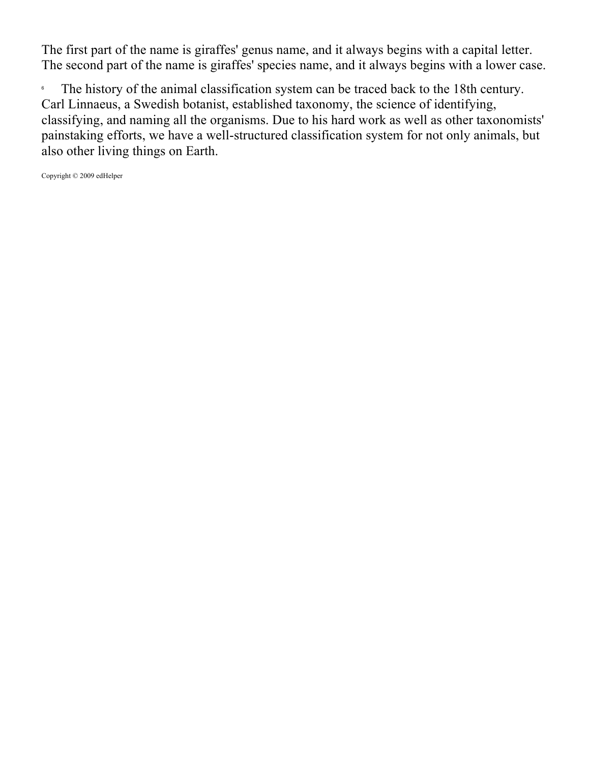The first part of the name is giraffes' genus name, and it always begins with a capital letter. The second part of the name is giraffes' species name, and it always begins with a lower case.

6 The history of the animal classification system can be traced back to the 18th century. Carl Linnaeus, a Swedish botanist, established taxonomy, the science of identifying, classifying, and naming all the organisms. Due to his hard work as well as other taxonomists' painstaking efforts, we have a well-structured classification system for not only animals, but also other living things on Earth.

Copyright © 2009 edHelper